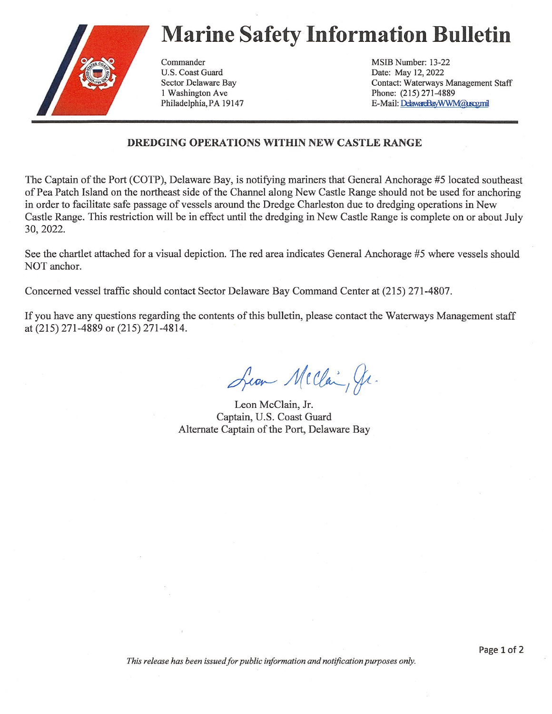## Marine Safety Information Bulletin



U.S. Coast Guard Date: May 12, 2022 I Washington Ave Phone: (215) 271-4889

Commander MSIB Number: 13-22 Sector Delaware Bay Contact: Waterways Management Staff Philadelphia, PA 19147 E-Mail: DekwareBayWWM@uscgmil

## DREDGING OPERATIONS WITHIN NEW CASTLE RANGE

The Captain of the Port (COTP), Delaware Bay, is notifying mariners that General Anchorage #5 located southeast of Pea Patch Island on the northeast side of the Channel along New Castle Range should not be used for anchoring in order to facilitate safe passage of vessels around the Dredge Charleston due to dredging operations in New Castle Range. This restriction will be in effect until the dredging in New Castle Range is complete on or about July 30, 2022.

See the chartlet attached for a visual depiction. The red area indicates General Anchorage #5 where vessels should NOT anchor.

Concerned vessel traffic should contact Sector Delaware Bay Command Center at (215) 271-4807.

If you have any questions regarding the contents of this bulletin, please contact the Waterways Management staff at (215) 271-4889 or (215) 271-4814.

Sean Mcclai, Jr.

Leon McClain, Jr. Captain, U.S. Coast Guard Alternate Captain of the Port, Delaware Bay